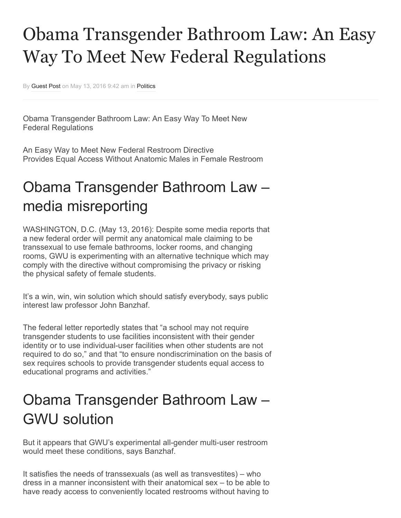## Obama Transgender Bathroom Law: An Easy Way To Meet New Federal Regulations

By [Guest Post](http://www.valuewalk.com/author/guest-post/) on May 13, 2016 9:42 am in [Politics](http://www.valuewalk.com/category/politics/)

Obama Transgender Bathroom Law: An Easy Way To Meet New Federal Regulations

An Easy Way to Meet New Federal Restroom Directive Provides Equal Access Without Anatomic Males in Female Restroom

## Obama Transgender Bathroom Law – media misreporting

WASHINGTON, D.C. (May 13, 2016): Despite some media reports that a new federal order will permit any anatomical male claiming to be transsexual to use female bathrooms, locker rooms, and changing rooms, GWU is experimenting with an alternative technique which may comply with the directive without compromising the privacy or risking the physical safety of female students.

It's a win, win, win solution which should satisfy everybody, says public interest law professor John Banzhaf.

The federal letter reportedly states that "a school may not require transgender students to use facilities inconsistent with their gender identity or to use individual-user facilities when other students are not required to do so," and that "to ensure nondiscrimination on the basis of sex requires schools to provide transgender students equal access to educational programs and activities."

## Obama Transgender Bathroom Law – GWU solution

But it appears that GWU's experimental all-gender multi-user restroom would meet these conditions, says Banzhaf.

It satisfies the needs of transsexuals (as well as transvestites) – who dress in a manner inconsistent with their anatomical sex – to be able to have ready access to conveniently located restrooms without having to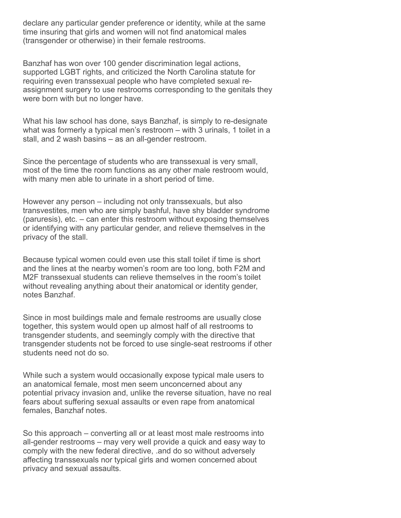declare any particular gender preference or identity, while at the same time insuring that girls and women will not find anatomical males (transgender or otherwise) in their female restrooms.

Banzhaf has won over 100 gender discrimination legal actions, supported LGBT rights, and criticized the North Carolina statute for requiring even transsexual people who have completed sexual reassignment surgery to use restrooms corresponding to the genitals they were born with but no longer have.

What his law school has done, says Banzhaf, is simply to re-designate what was formerly a typical men's restroom – with 3 urinals, 1 toilet in a stall, and 2 wash basins – as an all-gender restroom.

Since the percentage of students who are transsexual is very small, most of the time the room functions as any other male restroom would, with many men able to urinate in a short period of time.

However any person – including not only transsexuals, but also transvestites, men who are simply bashful, have shy bladder syndrome (paruresis), etc. – can enter this restroom without exposing themselves or identifying with any particular gender, and relieve themselves in the privacy of the stall.

Because typical women could even use this stall toilet if time is short and the lines at the nearby women's room are too long, both F2M and M2F transsexual students can relieve themselves in the room's toilet without revealing anything about their anatomical or identity gender, notes Banzhaf.

Since in most buildings male and female restrooms are usually close together, this system would open up almost half of all restrooms to transgender students, and seemingly comply with the directive that transgender students not be forced to use single-seat restrooms if other students need not do so.

While such a system would occasionally expose typical male users to an anatomical female, most men seem unconcerned about any potential privacy invasion and, unlike the reverse situation, have no real fears about suffering sexual assaults or even rape from anatomical females, Banzhaf notes.

So this approach – converting all or at least most male restrooms into all-gender restrooms – may very well provide a quick and easy way to comply with the new federal directive, .and do so without adversely affecting transsexuals nor typical girls and women concerned about privacy and sexual assaults.